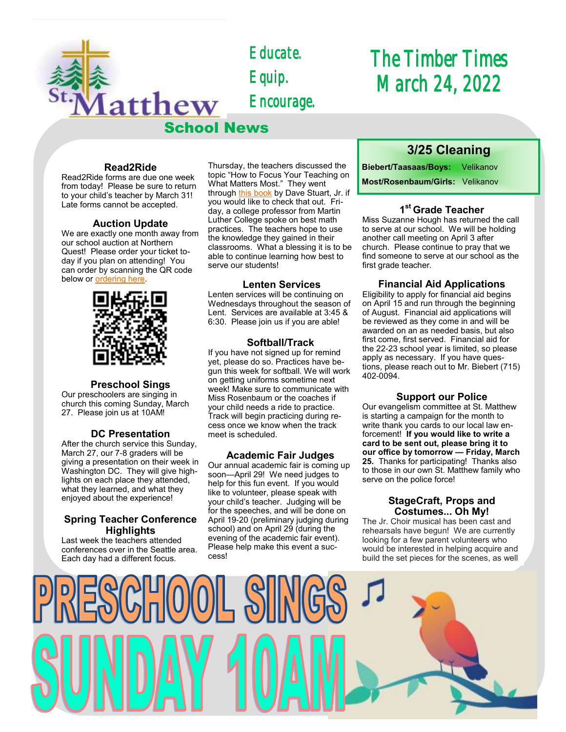*Educate. Equip. Encourage.* 

School News

# *The Timber Times March 24, 2022*

### **Read2Ride**

atthew

Read2Ride forms are due one week from today! Please be sure to return to your child's teacher by March 31! Late forms cannot be accepted.

#### **Auction Update**

We are exactly one month away from our school auction at Northern Quest! Please order your ticket today if you plan on attending! You can order by scanning the QR code below or [ordering here.](https://school.stmatthewspokane.org/auction-2022.html)



#### **Preschool Sings**

Our preschoolers are singing in church this coming Sunday, March 27. Please join us at 10AM!

#### **DC Presentation**

After the church service this Sunday, March 27, our 7-8 graders will be giving a presentation on their week in Washington DC. They will give highlights on each place they attended, what they learned, and what they enjoyed about the experience!

#### **Spring Teacher Conference Highlights**

Last week the teachers attended conferences over in the Seattle area. Each day had a different focus.

Thursday, the teachers discussed the topic "How to Focus Your Teaching on What Matters Most." They went through [this book](https://www.amazon.com/These-Things-Teaching-Matters-Literacy/dp/1506391036/ref=sr_1_1?crid=3OB5Y4FGBA1UG&keywords=these+six+things+dave+stuart&qid=1648136968&sprefix=these+six+things+dave+stuart%2Caps%2C118&sr=8-1) by Dave Stuart, Jr. if you would like to check that out. Friday, a college professor from Martin Luther College spoke on best math practices. The teachers hope to use the knowledge they gained in their classrooms. What a blessing it is to be able to continue learning how best to serve our students!

#### **Lenten Services**

Lenten services will be continuing on Wednesdays throughout the season of Lent. Services are available at 3:45 & 6:30. Please join us if you are able!

#### **Softball/Track**

If you have not signed up for remind yet, please do so. Practices have begun this week for softball. We will work on getting uniforms sometime next week! Make sure to communicate with Miss Rosenbaum or the coaches if your child needs a ride to practice. Track will begin practicing during recess once we know when the track meet is scheduled.

#### **Academic Fair Judges**

Our annual academic fair is coming up soon—April 29! We need judges to help for this fun event. If you would like to volunteer, please speak with your child's teacher. Judging will be for the speeches, and will be done on April 19-20 (preliminary judging during school) and on April 29 (during the evening of the academic fair event). Please help make this event a success!

## **3/25 Cleaning**

**Biebert/Taasaas/Boys:** Velikanov **Most/Rosenbaum/Girls:** Velikanov

## **1 st Grade Teacher**

Miss Suzanne Hough has returned the call to serve at our school. We will be holding another call meeting on April 3 after church. Please continue to pray that we find someone to serve at our school as the first grade teacher.

#### **Financial Aid Applications**

Eligibility to apply for financial aid begins on April 15 and run through the beginning of August. Financial aid applications will be reviewed as they come in and will be awarded on an as needed basis, but also first come, first served. Financial aid for the 22-23 school year is limited, so please apply as necessary. If you have questions, please reach out to Mr. Biebert (715) 402-0094.

#### **Support our Police**

Our evangelism committee at St. Matthew is starting a campaign for the month to write thank you cards to our local law enforcement! **If you would like to write a card to be sent out, please bring it to our office by tomorrow — Friday, March 25.** Thanks for participating! Thanks also to those in our own St. Matthew family who serve on the police force!

### **StageCraft, Props and Costumes... Oh My!**

The Jr. Choir musical has been cast and rehearsals have begun! We are currently looking for a few parent volunteers who would be interested in helping acquire and build the set pieces for the scenes, as well

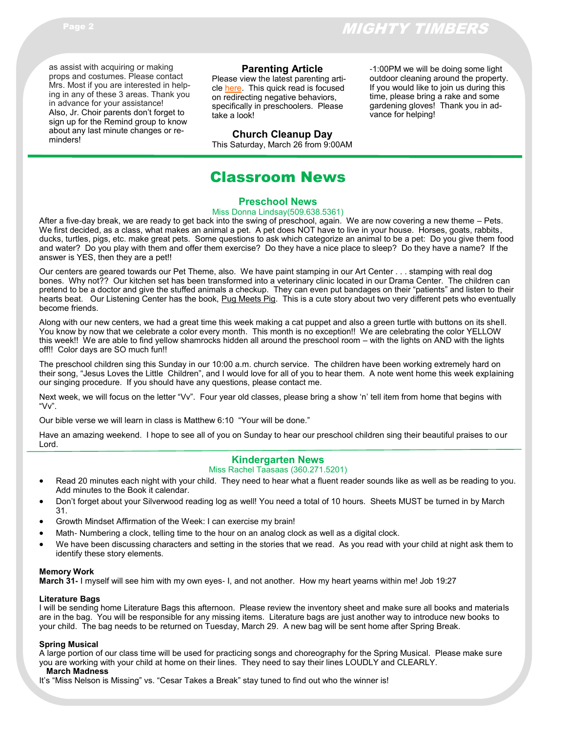as assist with acquiring or making props and costumes. Please contact Mrs. Most if you are interested in helping in any of these 3 areas. Thank you in advance for your assistance! Also, Jr. Choir parents don't forget to sign up for the Remind group to know

about any last minute changes or reminders!

## **Parenting Article**

Please view the latest parenting article [here.](https://www.naeyc.org/system/files/mib_11.4_0.pdf) This quick read is focused on redirecting negative behaviors, specifically in preschoolers. Please take a look!

## **Church Cleanup Day**

This Saturday, March 26 from 9:00AM

#### -1:00PM we will be doing some light outdoor cleaning around the property. If you would like to join us during this time, please bring a rake and some gardening gloves! Thank you in advance for helping!

## Classroom News

#### **Preschool News**

#### Miss Donna Lindsay(509.638.5361)

After a five-day break, we are ready to get back into the swing of preschool, again. We are now covering a new theme – Pets. We first decided, as a class, what makes an animal a pet. A pet does NOT have to live in your house. Horses, goats, rabbits, ducks, turtles, pigs, etc. make great pets. Some questions to ask which categorize an animal to be a pet: Do you give them food and water? Do you play with them and offer them exercise? Do they have a nice place to sleep? Do they have a name? If the answer is YES, then they are a pet!!

Our centers are geared towards our Pet Theme, also. We have paint stamping in our Art Center . . . stamping with real dog bones. Why not?? Our kitchen set has been transformed into a veterinary clinic located in our Drama Center. The children can pretend to be a doctor and give the stuffed animals a checkup. They can even put bandages on their "patients" and listen to their hearts beat. Our Listening Center has the book, Pug Meets Pig. This is a cute story about two very different pets who eventually become friends.

Along with our new centers, we had a great time this week making a cat puppet and also a green turtle with buttons on its shell. You know by now that we celebrate a color every month. This month is no exception!! We are celebrating the color YELLOW this week!! We are able to find yellow shamrocks hidden all around the preschool room – with the lights on AND with the lights off!! Color days are SO much fun!!

The preschool children sing this Sunday in our 10:00 a.m. church service. The children have been working extremely hard on their song, "Jesus Loves the Little Children", and I would love for all of you to hear them. A note went home this week explaining our singing procedure. If you should have any questions, please contact me.

Next week, we will focus on the letter "Vv". Four year old classes, please bring a show 'n' tell item from home that begins with "Vv".

Our bible verse we will learn in class is Matthew 6:10 "Your will be done."

Have an amazing weekend. I hope to see all of you on Sunday to hear our preschool children sing their beautiful praises to our Lord.

## **Kindergarten News**

#### Miss Rachel Taasaas (360.271.5201)

- Read 20 minutes each night with your child. They need to hear what a fluent reader sounds like as well as be reading to you. Add minutes to the Book it calendar.
- Don't forget about your Silverwood reading log as well! You need a total of 10 hours. Sheets MUST be turned in by March 31.
- Growth Mindset Affirmation of the Week: I can exercise my brain!
- Math- Numbering a clock, telling time to the hour on an analog clock as well as a digital clock.
- We have been discussing characters and setting in the stories that we read. As you read with your child at night ask them to identify these story elements.

#### **Memory Work**

**March 31-** I myself will see him with my own eyes- I, and not another. How my heart yearns within me! Job 19:27

#### **Literature Bags**

I will be sending home Literature Bags this afternoon. Please review the inventory sheet and make sure all books and materials are in the bag. You will be responsible for any missing items. Literature bags are just another way to introduce new books to your child. The bag needs to be returned on Tuesday, March 29. A new bag will be sent home after Spring Break.

#### **Spring Musical**

A large portion of our class time will be used for practicing songs and choreography for the Spring Musical. Please make sure you are working with your child at home on their lines. They need to say their lines LOUDLY and CLEARLY.  **March Madness**

It's "Miss Nelson is Missing" vs. "Cesar Takes a Break" stay tuned to find out who the winner is!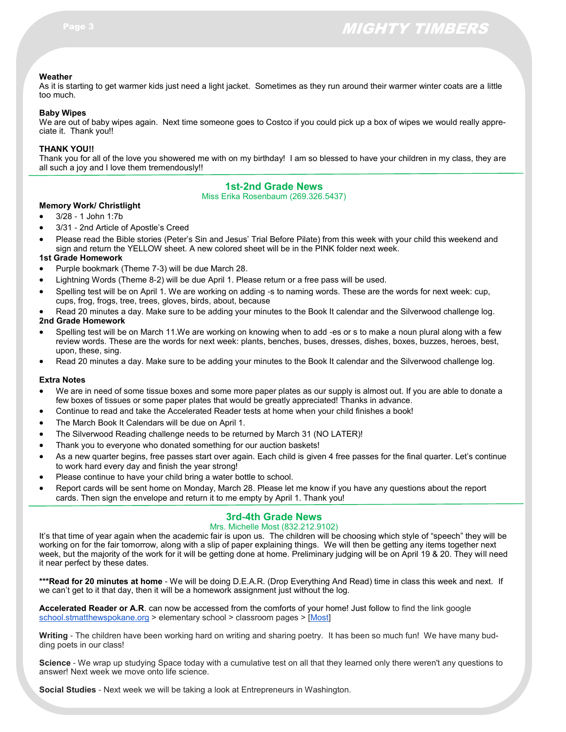#### **Weather**

As it is starting to get warmer kids just need a light jacket. Sometimes as they run around their warmer winter coats are a little too much.

#### **Baby Wipes**

We are out of baby wipes again. Next time someone goes to Costco if you could pick up a box of wipes we would really appreciate it. Thank you!!

#### **THANK YOU!!**

Thank you for all of the love you showered me with on my birthday! I am so blessed to have your children in my class, they are all such a joy and I love them tremendously!!

## **1st-2nd Grade News**

Miss Erika Rosenbaum (269.326.5437)

#### **Memory Work/ Christlight**

- 3/28 1 John 1:7b
- 3/31 2nd Article of Apostle's Creed
- Please read the Bible stories (Peter's Sin and Jesus' Trial Before Pilate) from this week with your child this weekend and sign and return the YELLOW sheet. A new colored sheet will be in the PINK folder next week.

#### **1st Grade Homework**

- Purple bookmark (Theme 7-3) will be due March 28.
- Lightning Words (Theme 8-2) will be due April 1. Please return or a free pass will be used.
- Spelling test will be on April 1. We are working on adding -s to naming words. These are the words for next week: cup, cups, frog, frogs, tree, trees, gloves, birds, about, because
- Read 20 minutes a day. Make sure to be adding your minutes to the Book It calendar and the Silverwood challenge log.

#### **2nd Grade Homework**

- Spelling test will be on March 11.We are working on knowing when to add -es or s to make a noun plural along with a few review words. These are the words for next week: plants, benches, buses, dresses, dishes, boxes, buzzes, heroes, best, upon, these, sing.
- Read 20 minutes a day. Make sure to be adding your minutes to the Book It calendar and the Silverwood challenge log.

#### **Extra Notes**

- We are in need of some tissue boxes and some more paper plates as our supply is almost out. If you are able to donate a few boxes of tissues or some paper plates that would be greatly appreciated! Thanks in advance.
- Continue to read and take the Accelerated Reader tests at home when your child finishes a book!
- The March Book It Calendars will be due on April 1.
- The Silverwood Reading challenge needs to be returned by March 31 (NO LATER)!
- Thank you to everyone who donated something for our auction baskets!
- As a new quarter begins, free passes start over again. Each child is given 4 free passes for the final quarter. Let's continue to work hard every day and finish the year strong!
- Please continue to have your child bring a water bottle to school.
- Report cards will be sent home on Monday, March 28. Please let me know if you have any questions about the report cards. Then sign the envelope and return it to me empty by April 1. Thank you!

## **3rd-4th Grade News**

#### Mrs. Michelle Most (832.212.9102)

It's that time of year again when the academic fair is upon us. The children will be choosing which style of "speech" they will be working on for the fair tomorrow, along with a slip of paper explaining things. We will then be getting any items together next week, but the majority of the work for it will be getting done at home. Preliminary judging will be on April 19 & 20. They will need it near perfect by these dates.

**\*\*\*Read for 20 minutes at home** - We will be doing D.E.A.R. (Drop Everything And Read) time in class this week and next. If we can't get to it that day, then it will be a homework assignment just without the log.

**Accelerated Reader or A.R**. can now be accessed from the comforts of your home! Just follow to find the link google [school.stmatthewspokane.org](http://school.stmatthewspokane.org/) > elementary school > classroom pages > [[Most\]](https://global-zone05.renaissance-go.com/welcomeportal/299566)

**Writing** - The children have been working hard on writing and sharing poetry. It has been so much fun! We have many budding poets in our class!

**Science** - We wrap up studying Space today with a cumulative test on all that they learned only there weren't any questions to answer! Next week we move onto life science.

**Social Studies** - Next week we will be taking a look at Entrepreneurs in Washington.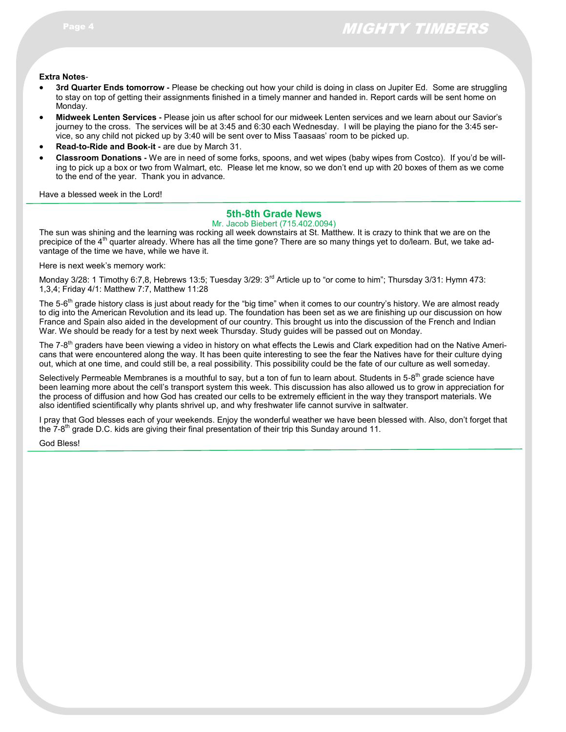#### **Extra Notes**-

- **3rd Quarter Ends tomorrow -** Please be checking out how your child is doing in class on Jupiter Ed. Some are struggling to stay on top of getting their assignments finished in a timely manner and handed in. Report cards will be sent home on Monday.
- **Midweek Lenten Services -** Please join us after school for our midweek Lenten services and we learn about our Savior's journey to the cross. The services will be at 3:45 and 6:30 each Wednesday. I will be playing the piano for the 3:45 service, so any child not picked up by 3:40 will be sent over to Miss Taasaas' room to be picked up.
- **Read-to-Ride and Book-it -** are due by March 31.
- **Classroom Donations -** We are in need of some forks, spoons, and wet wipes (baby wipes from Costco). If you'd be willing to pick up a box or two from Walmart, etc. Please let me know, so we don't end up with 20 boxes of them as we come to the end of the year. Thank you in advance.

Have a blessed week in the Lord!

## **5th-8th Grade News**

#### Mr. Jacob Biebert (715.402.0094)

The sun was shining and the learning was rocking all week downstairs at St. Matthew. It is crazy to think that we are on the precipice of the  $4<sup>th</sup>$  quarter already. Where has all the time gone? There are so many things yet to do/learn. But, we take advantage of the time we have, while we have it.

Here is next week's memory work:

Monday 3/28: 1 Timothy 6:7,8, Hebrews 13:5; Tuesday 3/29: 3<sup>rd</sup> Article up to "or come to him"; Thursday 3/31: Hymn 473: 1,3,4; Friday 4/1: Matthew 7:7, Matthew 11:28

The 5-6<sup>th</sup> grade history class is just about ready for the "big time" when it comes to our country's history. We are almost ready to dig into the American Revolution and its lead up. The foundation has been set as we are finishing up our discussion on how France and Spain also aided in the development of our country. This brought us into the discussion of the French and Indian War. We should be ready for a test by next week Thursday. Study guides will be passed out on Monday.

The 7-8<sup>th</sup> graders have been viewing a video in history on what effects the Lewis and Clark expedition had on the Native Americans that were encountered along the way. It has been quite interesting to see the fear the Natives have for their culture dying out, which at one time, and could still be, a real possibility. This possibility could be the fate of our culture as well someday.

Selectively Permeable Membranes is a mouthful to say, but a ton of fun to learn about. Students in 5-8<sup>th</sup> grade science have been learning more about the cell's transport system this week. This discussion has also allowed us to grow in appreciation for the process of diffusion and how God has created our cells to be extremely efficient in the way they transport materials. We also identified scientifically why plants shrivel up, and why freshwater life cannot survive in saltwater.

I pray that God blesses each of your weekends. Enjoy the wonderful weather we have been blessed with. Also, don't forget that the 7-8<sup>th</sup> grade D.C. kids are giving their final presentation of their trip this Sunday around 11.

#### God Bless!